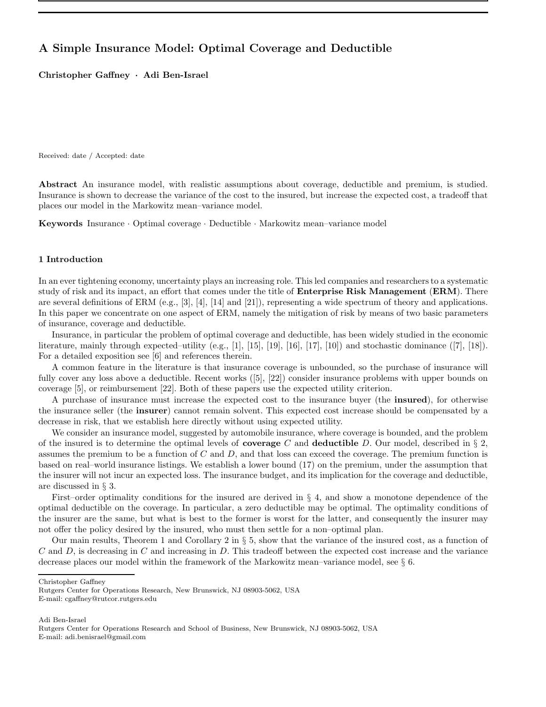# A Simple Insurance Model: Optimal Coverage and Deductible

Christopher Gaffney · Adi Ben-Israel

Received: date / Accepted: date

Abstract An insurance model, with realistic assumptions about coverage, deductible and premium, is studied. Insurance is shown to decrease the variance of the cost to the insured, but increase the expected cost, a tradeoff that places our model in the Markowitz mean–variance model.

Keywords Insurance · Optimal coverage · Deductible · Markowitz mean–variance model

## 1 Introduction

In an ever tightening economy, uncertainty plays an increasing role. This led companies and researchers to a systematic study of risk and its impact, an effort that comes under the title of **Enterprise Risk Management (ERM)**. There are several definitions of ERM (e.g.,  $[3]$ ,  $[4]$ ,  $[14]$  and  $[21]$ ), representing a wide spectrum of theory and applications. In this paper we concentrate on one aspect of ERM, namely the mitigation of risk by means of two basic parameters of insurance, coverage and deductible.

Insurance, in particular the problem of optimal coverage and deductible, has been widely studied in the economic literature, mainly through expected–utility (e.g., [1], [15], [19], [16], [17], [10]) and stochastic dominance  $(7, 18)$ . For a detailed exposition see [6] and references therein.

A common feature in the literature is that insurance coverage is unbounded, so the purchase of insurance will fully cover any loss above a deductible. Recent works ([5], [22]) consider insurance problems with upper bounds on coverage [5], or reimbursement [22]. Both of these papers use the expected utility criterion.

A purchase of insurance must increase the expected cost to the insurance buyer (the insured), for otherwise the insurance seller (the insurer) cannot remain solvent. This expected cost increase should be compensated by a decrease in risk, that we establish here directly without using expected utility.

We consider an insurance model, suggested by automobile insurance, where coverage is bounded, and the problem of the insured is to determine the optimal levels of **coverage** C and **deductible** D. Our model, described in  $\S$ 2, assumes the premium to be a function of  $C$  and  $D$ , and that loss can exceed the coverage. The premium function is based on real–world insurance listings. We establish a lower bound (17) on the premium, under the assumption that the insurer will not incur an expected loss. The insurance budget, and its implication for the coverage and deductible, are discussed in § 3.

First–order optimality conditions for the insured are derived in  $\S 4$ , and show a monotone dependence of the optimal deductible on the coverage. In particular, a zero deductible may be optimal. The optimality conditions of the insurer are the same, but what is best to the former is worst for the latter, and consequently the insurer may not offer the policy desired by the insured, who must then settle for a non–optimal plan.

Our main results, Theorem 1 and Corollary 2 in  $\S 5$ , show that the variance of the insured cost, as a function of  $C$  and  $D$ , is decreasing in  $C$  and increasing in  $D$ . This tradeoff between the expected cost increase and the variance decrease places our model within the framework of the Markowitz mean–variance model, see § 6.

Christopher Gaffney

E-mail: cgaffney@rutcor.rutgers.edu

Adi Ben-Israel

Rutgers Center for Operations Research, New Brunswick, NJ 08903-5062, USA

Rutgers Center for Operations Research and School of Business, New Brunswick, NJ 08903-5062, USA E-mail: adi.benisrael@gmail.com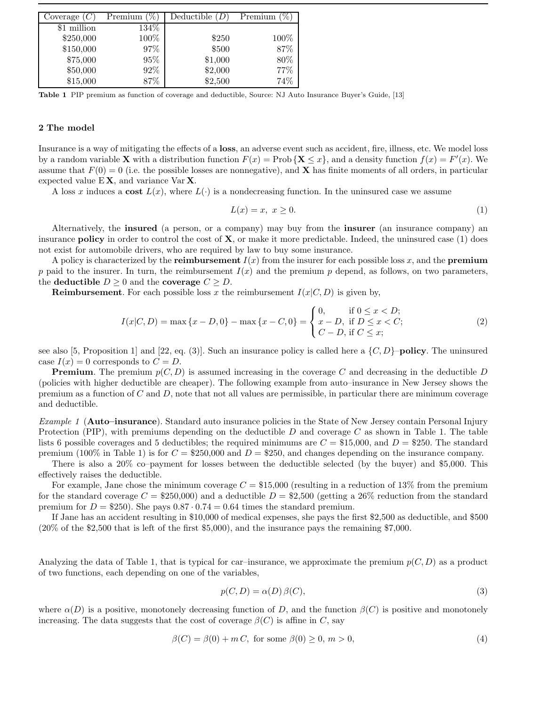| Coverage $(C)$ | Premium $(\%$ | Deductible $(D)$ | Premium |
|----------------|---------------|------------------|---------|
| \$1 million    | 134%          |                  |         |
| \$250,000      | 100%          | \$250            | 100%    |
| \$150,000      | 97%           | \$500            | 87%     |
| \$75,000       | 95%           | \$1,000          | 80%     |
| \$50,000       | 92\%          | \$2,000          | 77%     |
| \$15,000       | 87%           | \$2,500          | 74%     |

Table 1 PIP premium as function of coverage and deductible, Source: NJ Auto Insurance Buyer's Guide, [13]

## 2 The model

Insurance is a way of mitigating the effects of a loss, an adverse event such as accident, fire, illness, etc. We model loss by a random variable **X** with a distribution function  $F(x) = \text{Prob} \{ \mathbf{X} \leq x \}$ , and a density function  $f(x) = F'(x)$ . We assume that  $F(0) = 0$  (i.e. the possible losses are nonnegative), and **X** has finite moments of all orders, in particular expected value  $EX$ , and variance Var  $X$ .

A loss x induces a cost  $L(x)$ , where  $L(\cdot)$  is a nondecreasing function. In the uninsured case we assume

$$
L(x) = x, \ x \ge 0. \tag{1}
$$

Alternatively, the insured (a person, or a company) may buy from the insurer (an insurance company) an insurance **policy** in order to control the cost of  $X$ , or make it more predictable. Indeed, the uninsured case  $(1)$  does not exist for automobile drivers, who are required by law to buy some insurance.

A policy is characterized by the **reimbursement**  $I(x)$  from the insurer for each possible loss x, and the **premium** p paid to the insurer. In turn, the reimbursement  $I(x)$  and the premium p depend, as follows, on two parameters, the deductible  $D \geq 0$  and the coverage  $C \geq D$ .

**Reimbursement**. For each possible loss x the reimbursement  $I(x|C, D)$  is given by,

$$
I(x|C, D) = \max\{x - D, 0\} - \max\{x - C, 0\} = \begin{cases} 0, & \text{if } 0 \le x < D; \\ x - D, & \text{if } D \le x < C; \\ C - D, & \text{if } C \le x; \end{cases}
$$
 (2)

see also [5, Proposition 1] and [22, eq. (3)]. Such an insurance policy is called here a  $\{C, D\}$ –**policy**. The uninsured case  $I(x) = 0$  corresponds to  $C = D$ .

**Premium.** The premium  $p(C, D)$  is assumed increasing in the coverage C and decreasing in the deductible D (policies with higher deductible are cheaper). The following example from auto–insurance in New Jersey shows the premium as a function of  $C$  and  $D$ , note that not all values are permissible, in particular there are minimum coverage and deductible.

Example 1 (Auto–insurance). Standard auto insurance policies in the State of New Jersey contain Personal Injury Protection (PIP), with premiums depending on the deductible  $D$  and coverage  $C$  as shown in Table 1. The table lists 6 possible coverages and 5 deductibles; the required minimums are  $C = $15,000$ , and  $D = $250$ . The standard premium (100% in Table 1) is for  $C = $250,000$  and  $D = $250$ , and changes depending on the insurance company.

There is also a 20% co–payment for losses between the deductible selected (by the buyer) and \$5,000. This effectively raises the deductible.

For example, Jane chose the minimum coverage  $C = $15,000$  (resulting in a reduction of 13% from the premium for the standard coverage  $C = $250,000$  and a deductible  $D = $2,500$  (getting a 26% reduction from the standard premium for  $D = $250$ . She pays  $0.87 \cdot 0.74 = 0.64$  times the standard premium.

If Jane has an accident resulting in \$10,000 of medical expenses, she pays the first \$2,500 as deductible, and \$500 (20% of the \$2,500 that is left of the first \$5,000), and the insurance pays the remaining \$7,000.

Analyzing the data of Table 1, that is typical for car–insurance, we approximate the premium  $p(C, D)$  as a product of two functions, each depending on one of the variables,

$$
p(C, D) = \alpha(D)\beta(C),\tag{3}
$$

where  $\alpha(D)$  is a positive, monotonely decreasing function of D, and the function  $\beta(C)$  is positive and monotonely increasing. The data suggests that the cost of coverage  $\beta(C)$  is affine in C, say

$$
\beta(C) = \beta(0) + mC, \text{ for some } \beta(0) \ge 0, m > 0,
$$
\n
$$
(4)
$$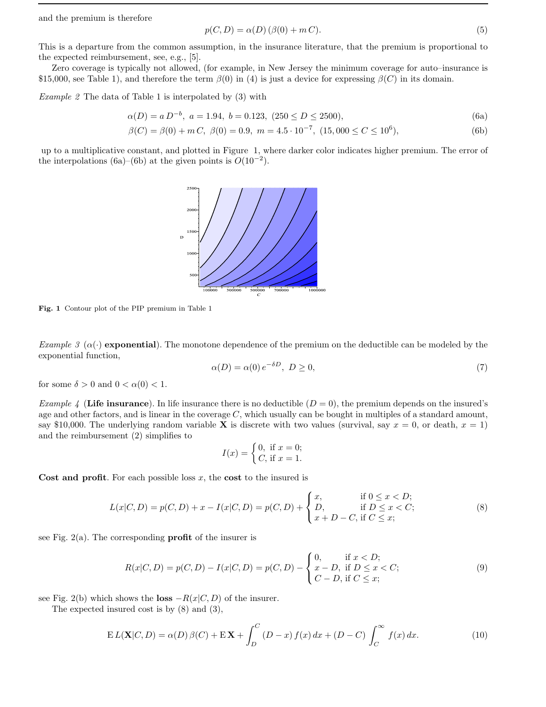and the premium is therefore

$$
p(C, D) = \alpha(D) \left( \beta(0) + m C \right). \tag{5}
$$

This is a departure from the common assumption, in the insurance literature, that the premium is proportional to the expected reimbursement, see, e.g., [5].

Zero coverage is typically not allowed, (for example, in New Jersey the minimum coverage for auto–insurance is \$15,000, see Table 1), and therefore the term  $\beta(0)$  in (4) is just a device for expressing  $\beta(C)$  in its domain.

Example 2 The data of Table 1 is interpolated by (3) with

$$
\alpha(D) = a D^{-b}, \ a = 1.94, \ b = 0.123, \ (250 \le D \le 2500), \tag{6a}
$$

$$
\beta(C) = \beta(0) + m C, \ \beta(0) = 0.9, \ m = 4.5 \cdot 10^{-7}, \ (15,000 \le C \le 10^6), \tag{6b}
$$

up to a multiplicative constant, and plotted in Figure 1, where darker color indicates higher premium. The error of the interpolations (6a)–(6b) at the given points is  $O(10^{-2})$ .



Fig. 1 Contour plot of the PIP premium in Table 1

Example 3 ( $\alpha(\cdot)$ ) exponential). The monotone dependence of the premium on the deductible can be modeled by the exponential function,

$$
\alpha(D) = \alpha(0) e^{-\delta D}, \ D \ge 0,\tag{7}
$$

for some  $\delta > 0$  and  $0 < \alpha(0) < 1$ .

Example 4 (Life insurance). In life insurance there is no deductible  $(D = 0)$ , the premium depends on the insured's age and other factors, and is linear in the coverage  $C$ , which usually can be bought in multiples of a standard amount, say \$10,000. The underlying random variable **X** is discrete with two values (survival, say  $x = 0$ , or death,  $x = 1$ ) and the reimbursement (2) simplifies to

$$
I(x) = \begin{cases} 0, & \text{if } x = 0; \\ C, & \text{if } x = 1. \end{cases}
$$

Cost and profit. For each possible loss  $x$ , the cost to the insured is

$$
L(x|C, D) = p(C, D) + x - I(x|C, D) = p(C, D) + \begin{cases} x, & \text{if } 0 \le x < D; \\ D, & \text{if } D \le x < C; \\ x + D - C, & \text{if } C \le x; \end{cases}
$$
 (8)

see Fig.  $2(a)$ . The corresponding **profit** of the insurer is

$$
R(x|C, D) = p(C, D) - I(x|C, D) = p(C, D) - \begin{cases} 0, & \text{if } x < D; \\ x - D, & \text{if } D \le x < C; \\ C - D, & \text{if } C \le x; \end{cases}
$$
(9)

see Fig. 2(b) which shows the loss  $-R(x|C, D)$  of the insurer.

The expected insured cost is by (8) and (3),

$$
E L(\mathbf{X}|C,D) = \alpha(D)\beta(C) + E\mathbf{X} + \int_D^C (D-x)f(x)\,dx + (D-C)\int_C^\infty f(x)\,dx.
$$
 (10)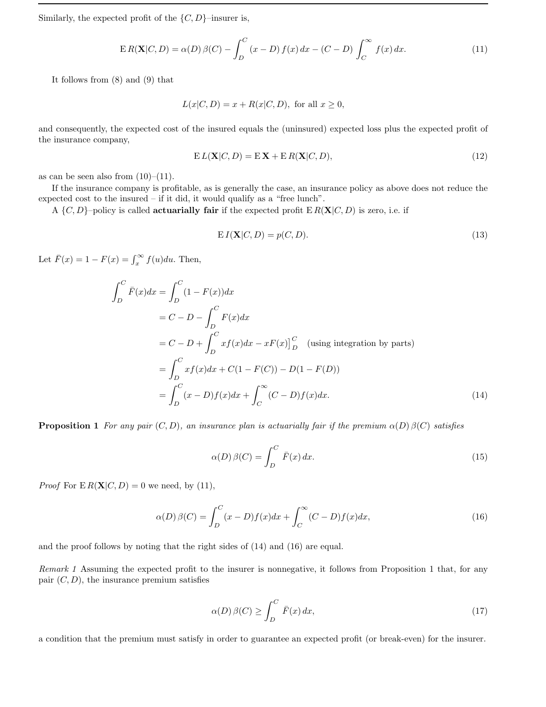Similarly, the expected profit of the  $\{C, D\}$ –insurer is,

$$
ER(\mathbf{X}|C,D) = \alpha(D)\beta(C) - \int_{D}^{C} (x - D)f(x) dx - (C - D)\int_{C}^{\infty} f(x) dx.
$$
 (11)

It follows from (8) and (9) that

$$
L(x|C, D) = x + R(x|C, D),
$$
 for all  $x \ge 0$ ,

and consequently, the expected cost of the insured equals the (uninsured) expected loss plus the expected profit of the insurance company,

$$
E L(\mathbf{X}|C, D) = E \mathbf{X} + E R(\mathbf{X}|C, D), \qquad (12)
$$

as can be seen also from  $(10)$ – $(11)$ .

If the insurance company is profitable, as is generally the case, an insurance policy as above does not reduce the expected cost to the insured – if it did, it would qualify as a "free lunch".

A  $\{C, D\}$ –policy is called **actuarially fair** if the expected profit  $E R(X|C, D)$  is zero, i.e. if

$$
EI(\mathbf{X}|C,D) = p(C,D). \tag{13}
$$

Let  $\bar{F}(x) = 1 - F(x) = \int_x^{\infty} f(u) du$ . Then,

$$
\int_{D}^{C} \bar{F}(x)dx = \int_{D}^{C} (1 - F(x))dx
$$
  
=  $C - D - \int_{D}^{C} F(x)dx$   
=  $C - D + \int_{D}^{C} xf(x)dx - xF(x)\Big|_{D}^{C}$  (using integration by parts)  
=  $\int_{D}^{C} xf(x)dx + C(1 - F(C)) - D(1 - F(D))$   
=  $\int_{D}^{C} (x - D)f(x)dx + \int_{C}^{\infty} (C - D)f(x)dx.$  (14)

**Proposition 1** For any pair  $(C, D)$ , an insurance plan is actuarially fair if the premium  $\alpha(D) \beta(C)$  satisfies

$$
\alpha(D)\,\beta(C) = \int_{D}^{C} \bar{F}(x) \, dx. \tag{15}
$$

*Proof* For  $E R(X|C, D) = 0$  we need, by (11),

$$
\alpha(D)\,\beta(C) = \int_{D}^{C} (x - D)f(x)dx + \int_{C}^{\infty} (C - D)f(x)dx,\tag{16}
$$

and the proof follows by noting that the right sides of (14) and (16) are equal.

Remark 1 Assuming the expected profit to the insurer is nonnegative, it follows from Proposition 1 that, for any pair  $(C, D)$ , the insurance premium satisfies

$$
\alpha(D)\,\beta(C) \ge \int_D^C \bar{F}(x) \, dx,\tag{17}
$$

a condition that the premium must satisfy in order to guarantee an expected profit (or break-even) for the insurer.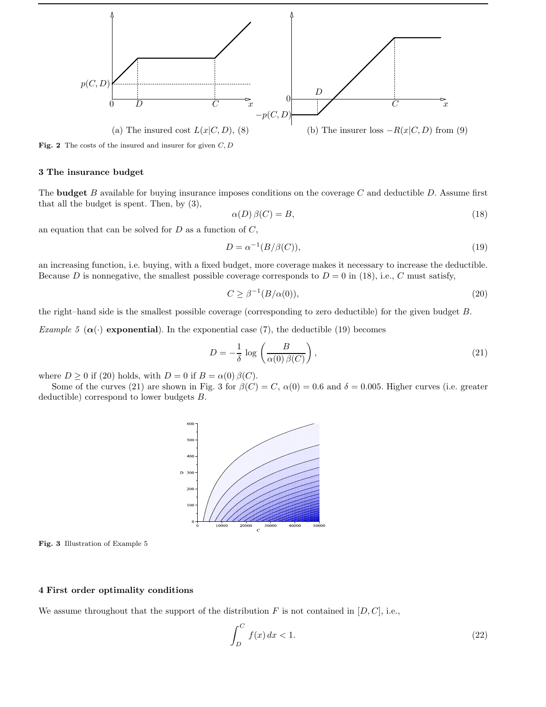

Fig. 2 The costs of the insured and insurer for given  $C, D$ 

#### 3 The insurance budget

The **budget** B available for buying insurance imposes conditions on the coverage C and deductible D. Assume first that all the budget is spent. Then, by (3),

$$
\alpha(D)\,\beta(C) = B,\tag{18}
$$

an equation that can be solved for  $D$  as a function of  $C$ ,

$$
D = \alpha^{-1}(B/\beta(C)),\tag{19}
$$

an increasing function, i.e. buying, with a fixed budget, more coverage makes it necessary to increase the deductible. Because D is nonnegative, the smallest possible coverage corresponds to  $D = 0$  in (18), i.e., C must satisfy,

$$
C \ge \beta^{-1}(B/\alpha(0)),\tag{20}
$$

the right–hand side is the smallest possible coverage (corresponding to zero deductible) for the given budget B.

Example 5 ( $\alpha(\cdot)$  exponential). In the exponential case (7), the deductible (19) becomes

$$
D = -\frac{1}{\delta} \log \left( \frac{B}{\alpha(0)\,\beta(C)} \right),\tag{21}
$$

where  $D \ge 0$  if (20) holds, with  $D = 0$  if  $B = \alpha(0) \beta(C)$ .

Some of the curves (21) are shown in Fig. 3 for  $\beta(C) = C$ ,  $\alpha(0) = 0.6$  and  $\delta = 0.005$ . Higher curves (i.e. greater deductible) correspond to lower budgets B.



Fig. 3 Illustration of Example 5

#### 4 First order optimality conditions

We assume throughout that the support of the distribution F is not contained in  $[D, C]$ , i.e.,

$$
\int_{D}^{C} f(x) dx < 1.
$$
\n(22)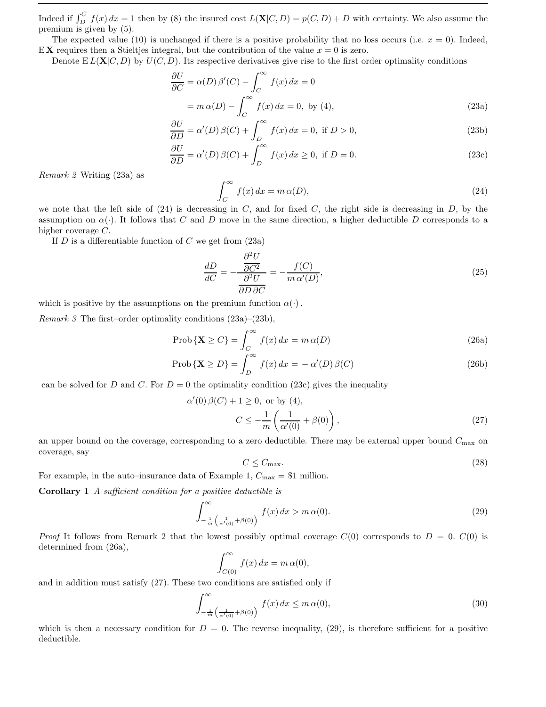Indeed if  $\int_D^C f(x) dx = 1$  then by (8) the insured cost  $L(\mathbf{X}|C, D) = p(C, D) + D$  with certainty. We also assume the premium is given by (5).

The expected value (10) is unchanged if there is a positive probability that no loss occurs (i.e.  $x = 0$ ). Indeed, EX requires then a Stieltjes integral, but the contribution of the value  $x = 0$  is zero.

Denote  $E L(X|C, D)$  by  $U(C, D)$ . Its respective derivatives give rise to the first order optimality conditions

$$
\frac{\partial U}{\partial C} = \alpha(D)\beta'(C) - \int_C^{\infty} f(x) dx = 0
$$
  
=  $m \alpha(D) - \int_C^{\infty} f(x) dx = 0$ , by (4), (23a)

$$
\frac{\partial U}{\partial D} = \alpha'(D)\beta(C) + \int_{D}^{\infty} f(x) dx = 0, \text{ if } D > 0,
$$
\n(23b)

$$
\frac{\partial U}{\partial D} = \alpha'(D)\beta(C) + \int_{D}^{\infty} f(x) dx \ge 0, \text{ if } D = 0.
$$
 (23c)

Remark 2 Writing (23a) as

$$
\int_C^{\infty} f(x) dx = m \alpha(D), \tag{24}
$$

we note that the left side of  $(24)$  is decreasing in C, and for fixed C, the right side is decreasing in D, by the assumption on  $\alpha(\cdot)$ . It follows that C and D move in the same direction, a higher deductible D corresponds to a higher coverage C.

If  $D$  is a differentiable function of  $C$  we get from  $(23a)$ 

$$
\frac{dD}{dC} = -\frac{\frac{\partial^2 U}{\partial C^2}}{\frac{\partial^2 U}{\partial D \partial C}} = -\frac{f(C)}{m \alpha'(D)},\tag{25}
$$

which is positive by the assumptions on the premium function  $\alpha(\cdot)$ .

Remark 3 The first–order optimality conditions (23a)–(23b),

$$
\text{Prob}\left\{\mathbf{X} \ge C\right\} = \int_{C}^{\infty} f(x) \, dx = m \, \alpha(D) \tag{26a}
$$

$$
\text{Prob}\left\{\mathbf{X} \ge D\right\} = \int_{D}^{\infty} f(x) \, dx = -\alpha'(D) \, \beta(C) \tag{26b}
$$

can be solved for D and C. For  $D = 0$  the optimality condition (23c) gives the inequality

(0) 
$$
\beta(C) + 1 \ge 0
$$
, or by (4),  

$$
C \le -\frac{1}{m} \left( \frac{1}{\alpha'(0)} + \beta(0) \right),
$$
 (27)

an upper bound on the coverage, corresponding to a zero deductible. There may be external upper bound  $C_{\text{max}}$  on coverage, say

$$
C \le C_{\text{max}}.\tag{28}
$$

For example, in the auto–insurance data of Example 1,  $C_{\text{max}} = $1$  million.

 $\alpha'$ 

Corollary 1 A sufficient condition for a positive deductible is

$$
\int_{-\frac{1}{m}\left(\frac{1}{\alpha'(0)}+\beta(0)\right)}^{\infty} f(x) dx > m \,\alpha(0). \tag{29}
$$

*Proof* It follows from Remark 2 that the lowest possibly optimal coverage  $C(0)$  corresponds to  $D = 0$ .  $C(0)$  is determined from (26a),

$$
\int_{C(0)}^{\infty} f(x) dx = m \alpha(0),
$$

and in addition must satisfy (27). These two conditions are satisfied only if

$$
\int_{-\frac{1}{m}\left(\frac{1}{\alpha'(0)}+\beta(0)\right)}^{\infty} f(x) dx \le m \,\alpha(0),\tag{30}
$$

which is then a necessary condition for  $D = 0$ . The reverse inequality, (29), is therefore sufficient for a positive deductible.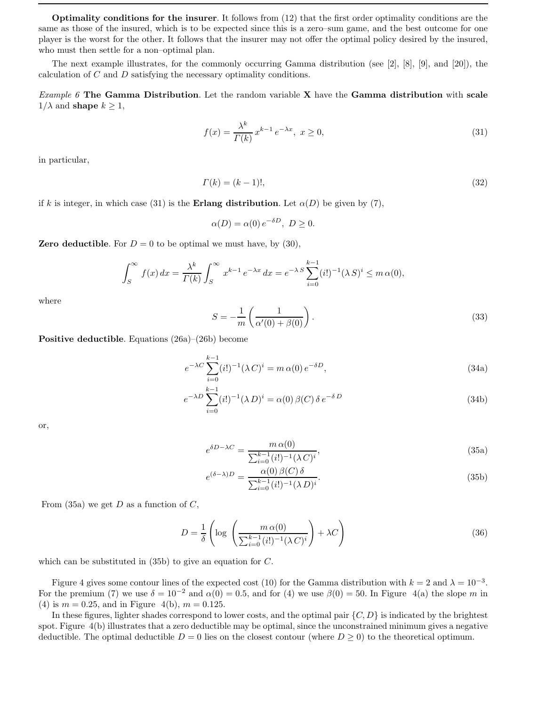Optimality conditions for the insurer. It follows from (12) that the first order optimality conditions are the same as those of the insured, which is to be expected since this is a zero–sum game, and the best outcome for one player is the worst for the other. It follows that the insurer may not offer the optimal policy desired by the insured, who must then settle for a non-optimal plan.

The next example illustrates, for the commonly occurring Gamma distribution (see [2], [8], [9], and [20]), the calculation of C and D satisfying the necessary optimality conditions.

*Example 6* The Gamma Distribution. Let the random variable  $X$  have the Gamma distribution with scale  $1/\lambda$  and **shape**  $k > 1$ ,

$$
f(x) = \frac{\lambda^k}{\Gamma(k)} x^{k-1} e^{-\lambda x}, \ x \ge 0,
$$
\n
$$
(31)
$$

in particular,

$$
\Gamma(k) = (k-1)!,\tag{32}
$$

if k is integer, in which case (31) is the **Erlang distribution**. Let  $\alpha(D)$  be given by (7),

$$
\alpha(D) = \alpha(0) e^{-\delta D}, \ D \ge 0.
$$

**Zero deductible.** For  $D = 0$  to be optimal we must have, by (30),

$$
\int_{S}^{\infty} f(x) dx = \frac{\lambda^{k}}{\Gamma(k)} \int_{S}^{\infty} x^{k-1} e^{-\lambda x} dx = e^{-\lambda S} \sum_{i=0}^{k-1} (i!)^{-1} (\lambda S)^{i} \leq m \alpha(0),
$$

where

$$
S = -\frac{1}{m} \left( \frac{1}{\alpha'(0) + \beta(0)} \right). \tag{33}
$$

Positive deductible. Equations (26a)–(26b) become

$$
e^{-\lambda C} \sum_{i=0}^{k-1} (i!)^{-1} (\lambda C)^i = m \alpha(0) e^{-\delta D}, \qquad (34a)
$$

$$
e^{-\lambda D} \sum_{i=0}^{k-1} (i!)^{-1} (\lambda D)^i = \alpha(0) \beta(C) \delta e^{-\delta D}
$$
 (34b)

or,

$$
e^{\delta D - \lambda C} = \frac{m \alpha(0)}{\sum_{i=0}^{k-1} (i!)^{-1} (\lambda C)^i},\tag{35a}
$$

$$
e^{(\delta-\lambda)D} = \frac{\alpha(0)\,\beta(C)\,\delta}{\sum_{i=0}^{k-1}(i!)^{-1}(\lambda\,D)^i}.\tag{35b}
$$

From (35a) we get  $D$  as a function of  $C$ ,

$$
D = \frac{1}{\delta} \left( \log \left( \frac{m \alpha(0)}{\sum_{i=0}^{k-1} (i!)^{-1} (\lambda C)^i} \right) + \lambda C \right)
$$
 (36)

which can be substituted in (35b) to give an equation for C.

Figure 4 gives some contour lines of the expected cost (10) for the Gamma distribution with  $k = 2$  and  $\lambda = 10^{-3}$ . For the premium (7) we use  $\delta = 10^{-2}$  and  $\alpha(0) = 0.5$ , and for (4) we use  $\beta(0) = 50$ . In Figure 4(a) the slope m in (4) is  $m = 0.25$ , and in Figure 4(b),  $m = 0.125$ .

In these figures, lighter shades correspond to lower costs, and the optimal pair  $\{C, D\}$  is indicated by the brightest spot. Figure 4(b) illustrates that a zero deductible may be optimal, since the unconstrained minimum gives a negative deductible. The optimal deductible  $D = 0$  lies on the closest contour (where  $D \ge 0$ ) to the theoretical optimum.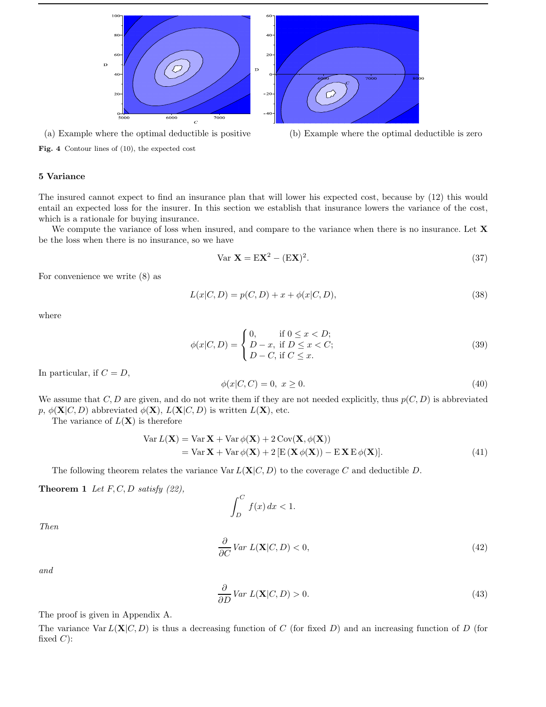

(a) Example where the optimal deductible is positive (b) Example where the optimal deductible is zero

Fig. 4 Contour lines of (10), the expected cost

# 5 Variance

The insured cannot expect to find an insurance plan that will lower his expected cost, because by (12) this would entail an expected loss for the insurer. In this section we establish that insurance lowers the variance of the cost, which is a rationale for buying insurance.

We compute the variance of loss when insured, and compare to the variance when there is no insurance. Let **X** be the loss when there is no insurance, so we have

$$
\text{Var } \mathbf{X} = \mathbf{E} \mathbf{X}^2 - (\mathbf{E} \mathbf{X})^2. \tag{37}
$$

For convenience we write (8) as

$$
L(x|C, D) = p(C, D) + x + \phi(x|C, D),
$$
\n(38)

where

$$
\phi(x|C, D) = \begin{cases} 0, & \text{if } 0 \le x < D; \\ D - x, & \text{if } D \le x < C; \\ D - C, & \text{if } C \le x. \end{cases}
$$
(39)

In particular, if  $C = D$ ,

$$
\phi(x|C, C) = 0, \ x \ge 0. \tag{40}
$$

We assume that  $C, D$  are given, and do not write them if they are not needed explicitly, thus  $p(C, D)$  is abbreviated p,  $\phi(\mathbf{X}|C, D)$  abbreviated  $\phi(\mathbf{X}), L(\mathbf{X}|C, D)$  is written  $L(\mathbf{X}),$  etc.

The variance of  $L(\mathbf{X})$  is therefore

$$
\begin{aligned} \text{Var}\,L(\mathbf{X}) &= \text{Var}\,\mathbf{X} + \text{Var}\,\phi(\mathbf{X}) + 2\,\text{Cov}(\mathbf{X}, \phi(\mathbf{X})) \\ &= \text{Var}\,\mathbf{X} + \text{Var}\,\phi(\mathbf{X}) + 2\left[\text{E}\left(\mathbf{X}\,\phi(\mathbf{X})\right) - \text{E}\,\mathbf{X}\,\text{E}\,\phi(\mathbf{X})\right]. \end{aligned} \tag{41}
$$

The following theorem relates the variance  $\text{Var } L(\mathbf{X}|C, D)$  to the coverage C and deductible D.

#### **Theorem 1** Let  $F, C, D$  satisfy (22),

$$
\int_{D}^{C} f(x) \, dx < 1.
$$

Then

$$
\frac{\partial}{\partial C} \text{Var } L(\mathbf{X}|C, D) < 0,\tag{42}
$$

and

$$
\frac{\partial}{\partial D} \text{Var } L(\mathbf{X}|C, D) > 0. \tag{43}
$$

The proof is given in Appendix A.

The variance  $\text{Var } L(\mathbf{X}|C, D)$  is thus a decreasing function of C (for fixed D) and an increasing function of D (for fixed  $C$ :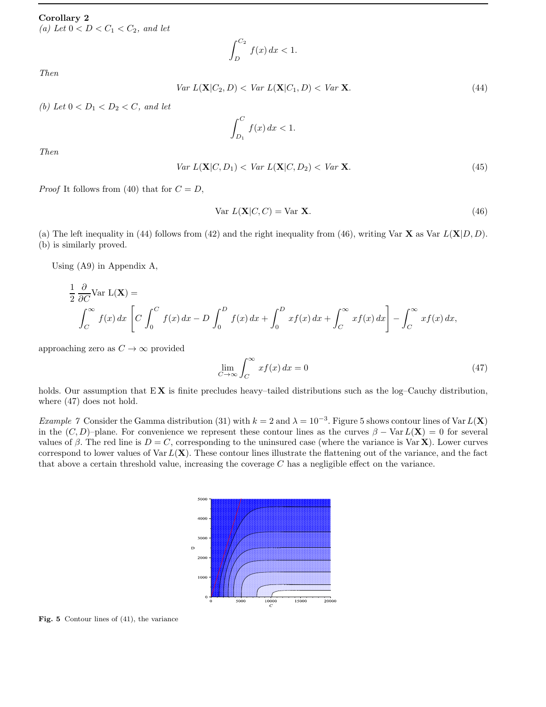# Corollary 2

(a) Let  $0 < D < C_1 < C_2$ , and let

$$
\int_{D}^{C_2} f(x) \, dx < 1.
$$

Then

$$
Var L(\mathbf{X}|C_2, D) < Var L(\mathbf{X}|C_1, D) < Var \mathbf{X}.\tag{44}
$$

(b) Let  $0 < D_1 < D_2 < C$ , and let

$$
\int_{D_1}^C f(x) \, dx < 1.
$$

Then

$$
Var L(\mathbf{X}|C, D_1) < Var L(\mathbf{X}|C, D_2) < Var \mathbf{X}.\tag{45}
$$

*Proof* It follows from (40) that for  $C = D$ ,

$$
\text{Var } L(\mathbf{X}|C, C) = \text{Var } \mathbf{X}.\tag{46}
$$

(a) The left inequality in (44) follows from (42) and the right inequality from (46), writing Var  $X$  as Var  $L(X|D, D)$ . (b) is similarly proved.

Using (A9) in Appendix A,

$$
\frac{1}{2} \frac{\partial}{\partial C} \text{Var } L(\mathbf{X}) =
$$
\n
$$
\int_C^{\infty} f(x) dx \left[ C \int_0^C f(x) dx - D \int_0^D f(x) dx + \int_0^D x f(x) dx + \int_C^{\infty} x f(x) dx \right] - \int_C^{\infty} x f(x) dx,
$$

approaching zero as  $C \to \infty$  provided

$$
\lim_{C \to \infty} \int_C^{\infty} x f(x) dx = 0 \tag{47}
$$

holds. Our assumption that  $EX$  is finite precludes heavy–tailed distributions such as the log–Cauchy distribution, where (47) does not hold.

Example 7 Consider the Gamma distribution (31) with  $k = 2$  and  $\lambda = 10^{-3}$ . Figure 5 shows contour lines of Var  $L(\mathbf{X})$ in the  $(C, D)$ –plane. For convenience we represent these contour lines as the curves  $\beta - \text{Var } L(\mathbf{X}) = 0$  for several values of β. The red line is  $D = C$ , corresponding to the uninsured case (where the variance is Var **X**). Lower curves correspond to lower values of Var  $L(X)$ . These contour lines illustrate the flattening out of the variance, and the fact that above a certain threshold value, increasing the coverage  $C$  has a negligible effect on the variance.



Fig. 5 Contour lines of (41), the variance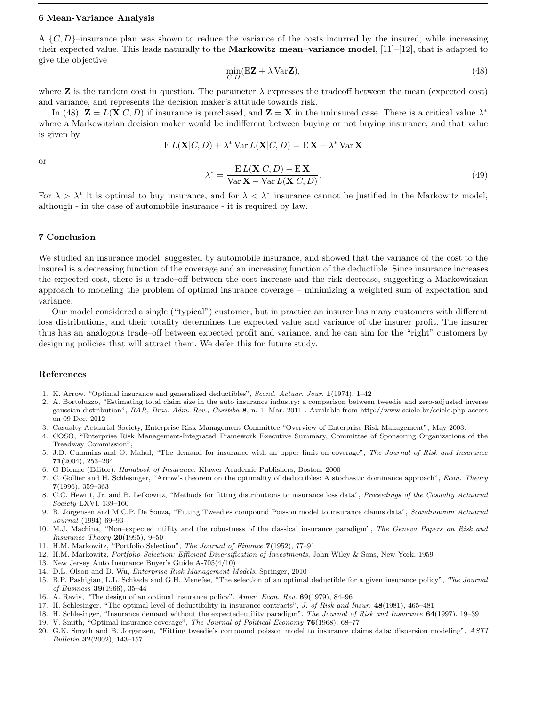#### 6 Mean-Variance Analysis

A  $\{C, D\}$ –insurance plan was shown to reduce the variance of the costs incurred by the insured, while increasing their expected value. This leads naturally to the Markowitz mean–variance model, [11]–[12], that is adapted to give the objective

$$
\min_{C,D} (\mathbf{EZ} + \lambda \mathbf{VarZ}),\tag{48}
$$

where **Z** is the random cost in question. The parameter  $\lambda$  expresses the tradeoff between the mean (expected cost) and variance, and represents the decision maker's attitude towards risk.

In (48),  $\mathbf{Z} = L(\mathbf{X}|C, D)$  if insurance is purchased, and  $\mathbf{Z} = \mathbf{X}$  in the uninsured case. There is a critical value  $\lambda^*$ where a Markowitzian decision maker would be indifferent between buying or not buying insurance, and that value is given by

$$
E L(\mathbf{X}|C, D) + \lambda^* \text{Var } L(\mathbf{X}|C, D) = E \mathbf{X} + \lambda^* \text{Var } \mathbf{X}
$$

or

$$
\lambda^* = \frac{\mathbf{E}\,L(\mathbf{X}|C,D) - \mathbf{E}\,\mathbf{X}}{\text{Var}\,\mathbf{X} - \text{Var}\,L(\mathbf{X}|C,D)}.\tag{49}
$$

For  $\lambda > \lambda^*$  it is optimal to buy insurance, and for  $\lambda < \lambda^*$  insurance cannot be justified in the Markowitz model, although - in the case of automobile insurance - it is required by law.

# 7 Conclusion

We studied an insurance model, suggested by automobile insurance, and showed that the variance of the cost to the insured is a decreasing function of the coverage and an increasing function of the deductible. Since insurance increases the expected cost, there is a trade–off between the cost increase and the risk decrease, suggesting a Markowitzian approach to modeling the problem of optimal insurance coverage – minimizing a weighted sum of expectation and variance.

Our model considered a single ("typical") customer, but in practice an insurer has many customers with different loss distributions, and their totality determines the expected value and variance of the insurer profit. The insurer thus has an analogous trade–off between expected profit and variance, and he can aim for the "right" customers by designing policies that will attract them. We defer this for future study.

## References

- 1. K. Arrow, "Optimal insurance and generalized deductibles", *Scand. Actuar. Jour.* 1(1974), 1–42
- 2. A. Bortoluzzo, "Estimating total claim size in the auto insurance industry: a comparison between tweedie and zero-adjusted inverse gaussian distribution", *BAR, Braz. Adm. Rev., Curitiba* 8, n. 1, Mar. 2011 . Available from http://www.scielo.br/scielo.php access on 09 Dec. 2012
- 3. Casualty Actuarial Society, Enterprise Risk Management Committee,"Overview of Enterprise Risk Management", May 2003.
- 4. COSO, "Enterprise Risk Management-Integrated Framework Executive Summary, Committee of Sponsoring Organizations of the Treadway Commission",
- 5. J.D. Cummins and O. Mahul, "The demand for insurance with an upper limit on coverage", *The Journal of Risk and Insurance* 71(2004), 253–264
- 6. G Dionne (Editor), *Handbook of Insurance*, Kluwer Academic Publishers, Boston, 2000
- 7. C. Gollier and H. Schlesinger, "Arrow's theorem on the optimality of deductibles: A stochastic dominance approach", *Econ. Theory* 7(1996), 359–363
- 8. C.C. Hewitt, Jr. and B. Lefkowitz, "Methods for fitting distributions to insurance loss data", *Proceedings of the Casualty Actuarial Society* LXVI, 139–160
- 9. B. Jorgensen and M.C.P. De Souza, "Fitting Tweedies compound Poisson model to insurance claims data", *Scandinavian Actuarial Journal* (1994) 69–93
- 10. M.J. Machina, "Non–expected utility and the robustness of the classical insurance paradigm", *The Geneva Papers on Risk and Insurance Theory* 20(1995), 9–50
- 11. H.M. Markowitz, "Portfolio Selection", *The Journal of Finance* 7(1952), 77–91
- 12. H.M. Markowitz, *Portfolio Selection: Efficient Diversification of Investments*, John Wiley & Sons, New York, 1959
- 13. New Jersey Auto Insurance Buyer's Guide A-705(4/10)
- 14. D.L. Olson and D. Wu, *Enterprise Risk Management Models*, Springer, 2010
- 15. B.P. Pashigian, L.L. Schkade and G.H. Menefee, "The selection of an optimal deductible for a given insurance policy", *The Journal of Business* 39(1966), 35–44
- 16. A. Raviv, "The design of an optimal insurance policy", *Amer. Econ. Rev.* 69(1979), 84–96
- 17. H. Schlesinger, "The optimal level of deductibility in insurance contracts", *J. of Risk and Insur.* 48(1981), 465–481
- 18. H. Schlesinger, "Insurance demand without the expected–utility paradigm", *The Journal of Risk and Insurance* 64(1997), 19–39
- 19. V. Smith, "Optimal insurance coverage", *The Journal of Political Economy* 76(1968), 68–77
- 20. G.K. Smyth and B. Jorgensen, "Fitting tweedie's compound poisson model to insurance claims data: dispersion modeling", *ASTI Bulletin* 32(2002), 143–157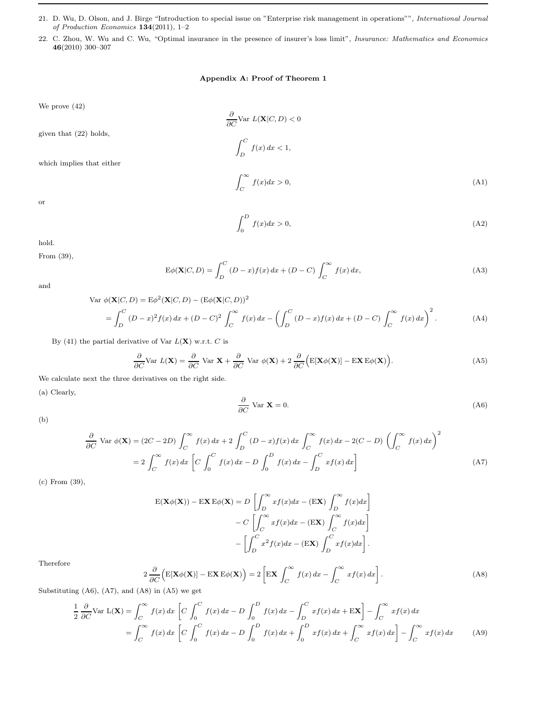- 21. D. Wu, D. Olson, and J. Birge "Introduction to special issue on "Enterprise risk management in operations"", *International Journal of Production Economics* 134(2011), 1–2
- 22. C. Zhou, W. Wu and C. Wu, "Optimal insurance in the presence of insurer's loss limit", *Insurance: Mathematics and Economics* 46(2010) 300–307

# Appendix A: Proof of Theorem 1

We prove (42)

∂  $\frac{\partial}{\partial C}$ Var  $L(\mathbf{X}|C,D) < 0$ given that (22) holds,  $\int^C$  $\int_D f(x) dx < 1,$ which implies that either  $\int_0^\infty$  $f(x)dx > 0,$  (A1)

or

$$
\int_0^D f(x)dx > 0,\tag{A2}
$$

hold.

From (39),

$$
E\phi(\mathbf{X}|C,D) = \int_{D}^{C} (D-x)f(x) dx + (D-C) \int_{C}^{\infty} f(x) dx,
$$
\n(A3)

and

$$
\text{Var } \phi(\mathbf{X}|C, D) = \mathbb{E}\phi^2(\mathbf{X}|C, D) - (\mathbb{E}\phi(\mathbf{X}|C, D))^2
$$
\n
$$
= \int_D^C (D - x)^2 f(x) \, dx + (D - C)^2 \int_C^\infty f(x) \, dx - \left( \int_D^C (D - x) f(x) \, dx + (D - C) \int_C^\infty f(x) \, dx \right)^2. \tag{A4}
$$

By (41) the partial derivative of Var  $L(X)$  w.r.t. C is

$$
\frac{\partial}{\partial C} \text{Var } L(\mathbf{X}) = \frac{\partial}{\partial C} \text{Var } \mathbf{X} + \frac{\partial}{\partial C} \text{Var } \phi(\mathbf{X}) + 2 \frac{\partial}{\partial C} \Big( \mathbb{E}[\mathbf{X} \phi(\mathbf{X})] - \mathbb{E} \mathbf{X} \mathbb{E} \phi(\mathbf{X}) \Big). \tag{A5}
$$

We calculate next the three derivatives on the right side.

(a) Clearly,

$$
\frac{\partial}{\partial C} \text{Var } \mathbf{X} = 0. \tag{A6}
$$

(b)

$$
\frac{\partial}{\partial C} \text{Var } \phi(\mathbf{X}) = (2C - 2D) \int_C^{\infty} f(x) dx + 2 \int_D^C (D - x) f(x) dx \int_C^{\infty} f(x) dx - 2(C - D) \left( \int_C^{\infty} f(x) dx \right)^2
$$

$$
= 2 \int_C^{\infty} f(x) dx \left[ C \int_0^C f(x) dx - D \int_0^D f(x) dx - \int_D^C x f(x) dx \right]
$$
(A7)

(c) From (39),

$$
E(\mathbf{X}\phi(\mathbf{X})) - E\mathbf{X} E\phi(\mathbf{X}) = D\left[\int_{D}^{\infty} x f(x) dx - (E\mathbf{X}) \int_{D}^{\infty} f(x) dx\right]
$$

$$
- C\left[\int_{C}^{\infty} x f(x) dx - (E\mathbf{X}) \int_{C}^{\infty} f(x) dx\right]
$$

$$
-\left[\int_{D}^{C} x^{2} f(x) dx - (E\mathbf{X}) \int_{D}^{C} x f(x) dx\right].
$$

Therefore

$$
2\frac{\partial}{\partial C}\Big(\mathbf{E}[\mathbf{X}\phi(\mathbf{X})] - \mathbf{E}\mathbf{X}\,\mathbf{E}\phi(\mathbf{X})\Big) = 2\left[\mathbf{E}\mathbf{X}\int_C^{\infty} f(x)\,dx - \int_C^{\infty} xf(x)\,dx\right].\tag{A8}
$$

Substituting  $(A6)$ ,  $(A7)$ , and  $(A8)$  in  $(A5)$  we get

$$
\frac{1}{2} \frac{\partial}{\partial C} \text{Var } \mathcal{L}(\mathbf{X}) = \int_C^{\infty} f(x) dx \left[ C \int_0^C f(x) dx - D \int_0^D f(x) dx - \int_D^C x f(x) dx + \mathbf{EX} \right] - \int_C^{\infty} x f(x) dx
$$

$$
= \int_C^{\infty} f(x) dx \left[ C \int_0^C f(x) dx - D \int_0^D f(x) dx + \int_0^D x f(x) dx + \int_C^{\infty} x f(x) dx \right] - \int_C^{\infty} x f(x) dx \tag{A9}
$$